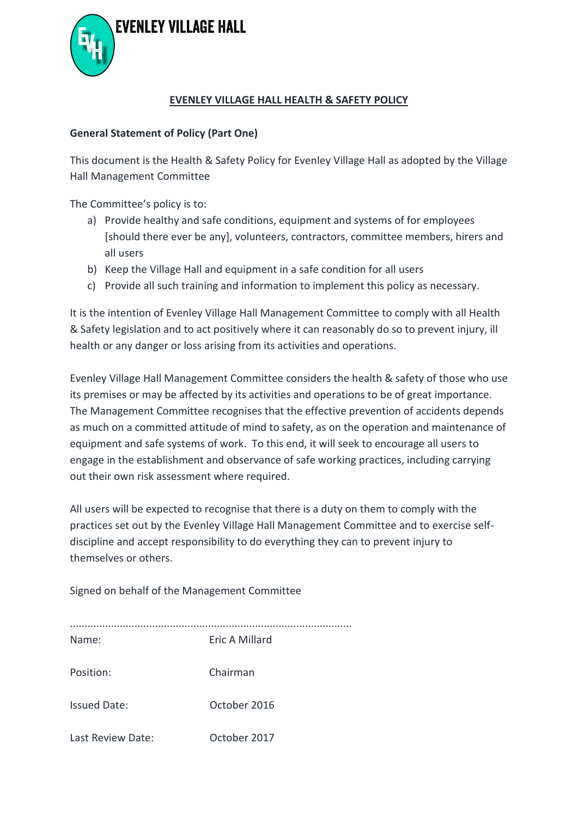



#### **EVENLEY VILLAGE HALL HEALTH & SAFETY POLICY**

#### **General Statement of Policy (Part One)**

This document is the Health & Safety Policy for Evenley Village Hall as adopted by the Village Hall Management Committee

The Committee's policy is to:

- a) Provide healthy and safe conditions, equipment and systems of for employees [should there ever be any], volunteers, contractors, committee members, hirers and all users
- b) Keep the Village Hall and equipment in a safe condition for all users
- c) Provide all such training and information to implement this policy as necessary.

It is the intention of Evenley Village Hall Management Committee to comply with all Health & Safety legislation and to act positively where it can reasonably do so to prevent injury, ill health or any danger or loss arising from its activities and operations.

Evenley Village Hall Management Committee considers the health & safety of those who use its premises or may be affected by its activities and operations to be of great importance. The Management Committee recognises that the effective prevention of accidents depends as much on a committed attitude of mind to safety, as on the operation and maintenance of equipment and safe systems of work. To this end, it will seek to encourage all users to engage in the establishment and observance of safe working practices, including carrying out their own risk assessment where required.

All users will be expected to recognise that there is a duty on them to comply with the practices set out by the Evenley Village Hall Management Committee and to exercise selfdiscipline and accept responsibility to do everything they can to prevent injury to themselves or others.

Signed on behalf of the Management Committee

| Name:               | Eric A Millard |
|---------------------|----------------|
| Position:           | Chairman       |
| <b>Issued Date:</b> | October 2016   |
| Last Review Date:   | October 2017   |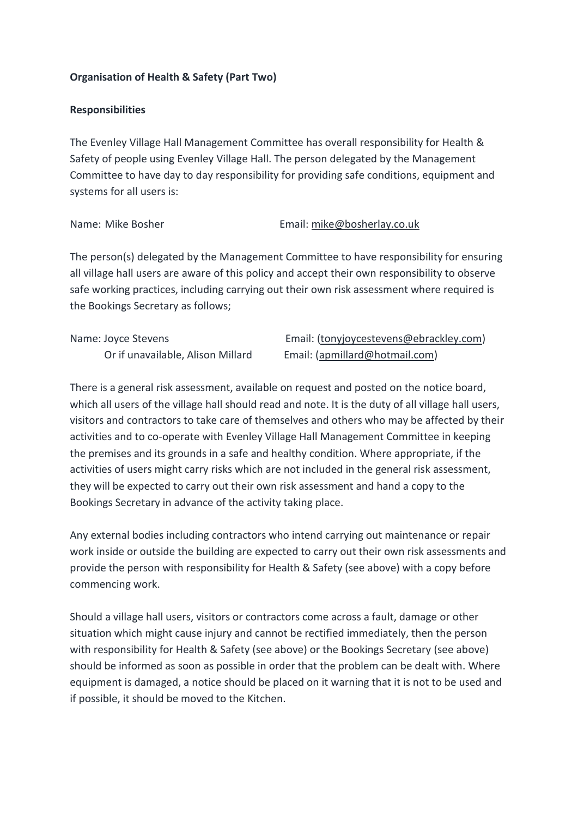# **Organisation of Health & Safety (Part Two)**

#### **Responsibilities**

The Evenley Village Hall Management Committee has overall responsibility for Health & Safety of people using Evenley Village Hall. The person delegated by the Management Committee to have day to day responsibility for providing safe conditions, equipment and systems for all users is:

#### Name: Mike Bosher **Email:** mike@bosherlay.co.uk

The person(s) delegated by the Management Committee to have responsibility for ensuring all village hall users are aware of this policy and accept their own responsibility to observe safe working practices, including carrying out their own risk assessment where required is the Bookings Secretary as follows;

| Name: Joyce Stevens               | Email: (tonyjoycestevens@ebrackley.com) |
|-----------------------------------|-----------------------------------------|
| Or if unavailable, Alison Millard | Email: (apmillard@hotmail.com)          |

There is a general risk assessment, available on request and posted on the notice board, which all users of the village hall should read and note. It is the duty of all village hall users, visitors and contractors to take care of themselves and others who may be affected by their activities and to co-operate with Evenley Village Hall Management Committee in keeping the premises and its grounds in a safe and healthy condition. Where appropriate, if the activities of users might carry risks which are not included in the general risk assessment, they will be expected to carry out their own risk assessment and hand a copy to the Bookings Secretary in advance of the activity taking place.

Any external bodies including contractors who intend carrying out maintenance or repair work inside or outside the building are expected to carry out their own risk assessments and provide the person with responsibility for Health & Safety (see above) with a copy before commencing work.

Should a village hall users, visitors or contractors come across a fault, damage or other situation which might cause injury and cannot be rectified immediately, then the person with responsibility for Health & Safety (see above) or the Bookings Secretary (see above) should be informed as soon as possible in order that the problem can be dealt with. Where equipment is damaged, a notice should be placed on it warning that it is not to be used and if possible, it should be moved to the Kitchen.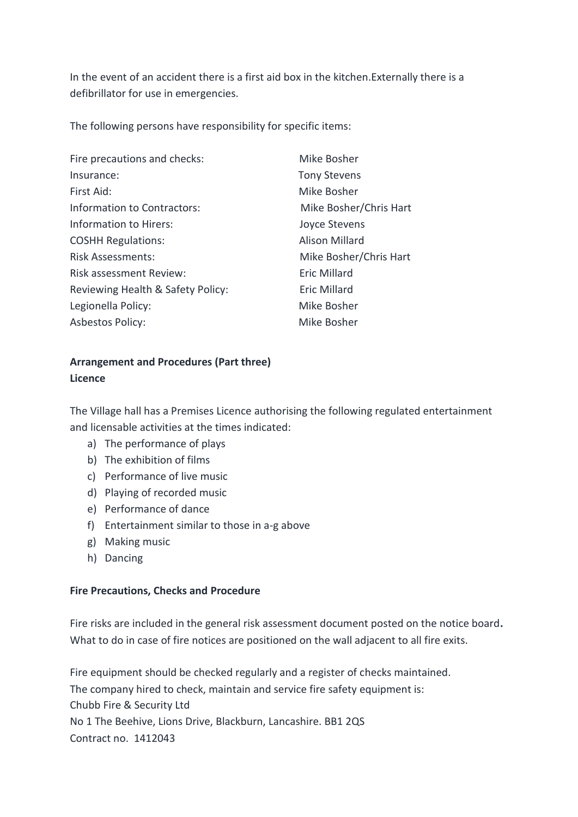In the event of an accident there is a first aid box in the kitchen.Externally there is a defibrillator for use in emergencies.

The following persons have responsibility for specific items:

| Fire precautions and checks:      | Mike Bosher            |
|-----------------------------------|------------------------|
| Insurance:                        | <b>Tony Stevens</b>    |
| First Aid:                        | Mike Bosher            |
| Information to Contractors:       | Mike Bosher/Chris Hart |
| Information to Hirers:            | Joyce Stevens          |
| <b>COSHH Regulations:</b>         | <b>Alison Millard</b>  |
| <b>Risk Assessments:</b>          | Mike Bosher/Chris Hart |
| <b>Risk assessment Review:</b>    | <b>Eric Millard</b>    |
| Reviewing Health & Safety Policy: | <b>Eric Millard</b>    |
| Legionella Policy:                | Mike Bosher            |
| <b>Asbestos Policy:</b>           | Mike Bosher            |

# **Arrangement and Procedures (Part three) Licence**

The Village hall has a Premises Licence authorising the following regulated entertainment and licensable activities at the times indicated:

- a) The performance of plays
- b) The exhibition of films
- c) Performance of live music
- d) Playing of recorded music
- e) Performance of dance
- f) Entertainment similar to those in a-g above
- g) Making music
- h) Dancing

#### **Fire Precautions, Checks and Procedure**

Fire risks are included in the general risk assessment document posted on the notice board**.**  What to do in case of fire notices are positioned on the wall adjacent to all fire exits.

Fire equipment should be checked regularly and a register of checks maintained. The company hired to check, maintain and service fire safety equipment is: Chubb Fire & Security Ltd No 1 The Beehive, Lions Drive, Blackburn, Lancashire. BB1 2QS Contract no. 1412043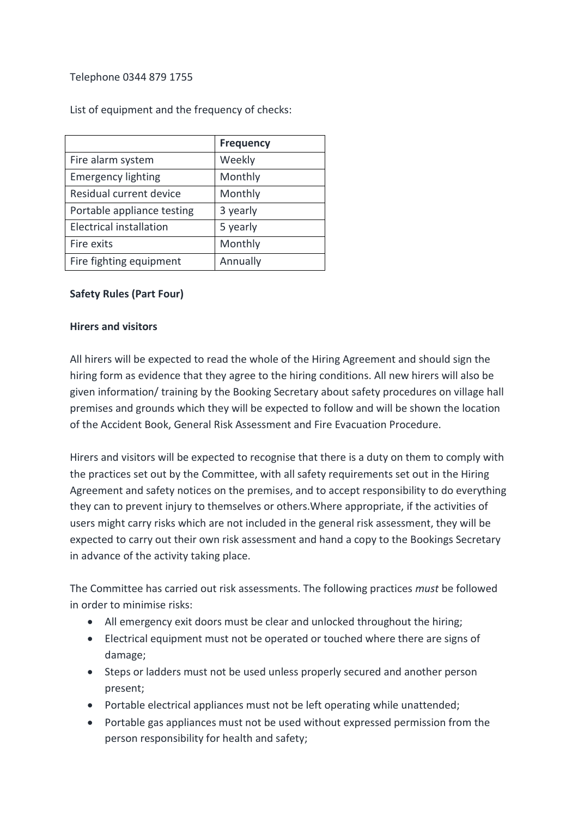## Telephone 0344 879 1755

List of equipment and the frequency of checks:

|                                | <b>Frequency</b> |
|--------------------------------|------------------|
| Fire alarm system              | Weekly           |
| <b>Emergency lighting</b>      | Monthly          |
| Residual current device        | Monthly          |
| Portable appliance testing     | 3 yearly         |
| <b>Electrical installation</b> | 5 yearly         |
| Fire exits                     | Monthly          |
| Fire fighting equipment        | Annually         |

#### **Safety Rules (Part Four)**

#### **Hirers and visitors**

All hirers will be expected to read the whole of the Hiring Agreement and should sign the hiring form as evidence that they agree to the hiring conditions. All new hirers will also be given information/ training by the Booking Secretary about safety procedures on village hall premises and grounds which they will be expected to follow and will be shown the location of the Accident Book, General Risk Assessment and Fire Evacuation Procedure.

Hirers and visitors will be expected to recognise that there is a duty on them to comply with the practices set out by the Committee, with all safety requirements set out in the Hiring Agreement and safety notices on the premises, and to accept responsibility to do everything they can to prevent injury to themselves or others.Where appropriate, if the activities of users might carry risks which are not included in the general risk assessment, they will be expected to carry out their own risk assessment and hand a copy to the Bookings Secretary in advance of the activity taking place.

The Committee has carried out risk assessments. The following practices *must* be followed in order to minimise risks:

- All emergency exit doors must be clear and unlocked throughout the hiring;
- Electrical equipment must not be operated or touched where there are signs of damage;
- Steps or ladders must not be used unless properly secured and another person present;
- Portable electrical appliances must not be left operating while unattended;
- Portable gas appliances must not be used without expressed permission from the person responsibility for health and safety;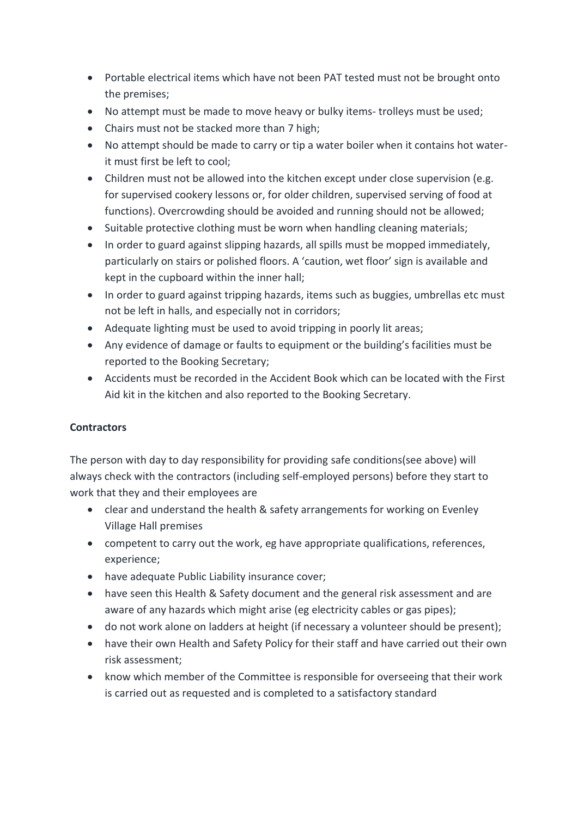- Portable electrical items which have not been PAT tested must not be brought onto the premises;
- No attempt must be made to move heavy or bulky items- trolleys must be used;
- Chairs must not be stacked more than 7 high;
- No attempt should be made to carry or tip a water boiler when it contains hot waterit must first be left to cool;
- Children must not be allowed into the kitchen except under close supervision (e.g. for supervised cookery lessons or, for older children, supervised serving of food at functions). Overcrowding should be avoided and running should not be allowed;
- Suitable protective clothing must be worn when handling cleaning materials;
- In order to guard against slipping hazards, all spills must be mopped immediately, particularly on stairs or polished floors. A 'caution, wet floor' sign is available and kept in the cupboard within the inner hall;
- In order to guard against tripping hazards, items such as buggies, umbrellas etc must not be left in halls, and especially not in corridors;
- Adequate lighting must be used to avoid tripping in poorly lit areas;
- Any evidence of damage or faults to equipment or the building's facilities must be reported to the Booking Secretary;
- Accidents must be recorded in the Accident Book which can be located with the First Aid kit in the kitchen and also reported to the Booking Secretary.

# **Contractors**

The person with day to day responsibility for providing safe conditions(see above) will always check with the contractors (including self-employed persons) before they start to work that they and their employees are

- clear and understand the health & safety arrangements for working on Evenley Village Hall premises
- competent to carry out the work, eg have appropriate qualifications, references, experience;
- have adequate Public Liability insurance cover;
- have seen this Health & Safety document and the general risk assessment and are aware of any hazards which might arise (eg electricity cables or gas pipes);
- do not work alone on ladders at height (if necessary a volunteer should be present);
- have their own Health and Safety Policy for their staff and have carried out their own risk assessment;
- know which member of the Committee is responsible for overseeing that their work is carried out as requested and is completed to a satisfactory standard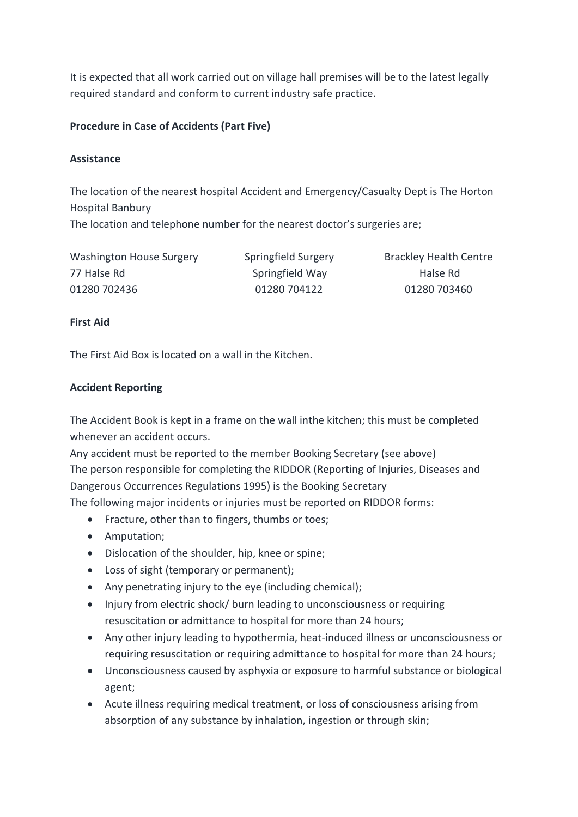It is expected that all work carried out on village hall premises will be to the latest legally required standard and conform to current industry safe practice.

# **Procedure in Case of Accidents (Part Five)**

## **Assistance**

The location of the nearest hospital Accident and Emergency/Casualty Dept is The Horton Hospital Banbury The location and telephone number for the nearest doctor's surgeries are;

Washington House Surgery Springfield Surgery Brackley Health Centre 77 Halse Rd Springfield Way Halse Rd 01280 702436 01280 704122 01280 703460

# **First Aid**

The First Aid Box is located on a wall in the Kitchen.

# **Accident Reporting**

The Accident Book is kept in a frame on the wall inthe kitchen; this must be completed whenever an accident occurs.

Any accident must be reported to the member Booking Secretary (see above) The person responsible for completing the RIDDOR (Reporting of Injuries, Diseases and Dangerous Occurrences Regulations 1995) is the Booking Secretary The following major incidents or injuries must be reported on RIDDOR forms:

- Fracture, other than to fingers, thumbs or toes;
- Amputation;
- Dislocation of the shoulder, hip, knee or spine;
- Loss of sight (temporary or permanent);
- Any penetrating injury to the eye (including chemical);
- Injury from electric shock/ burn leading to unconsciousness or requiring resuscitation or admittance to hospital for more than 24 hours;
- Any other injury leading to hypothermia, heat-induced illness or unconsciousness or requiring resuscitation or requiring admittance to hospital for more than 24 hours;
- Unconsciousness caused by asphyxia or exposure to harmful substance or biological agent;
- Acute illness requiring medical treatment, or loss of consciousness arising from absorption of any substance by inhalation, ingestion or through skin;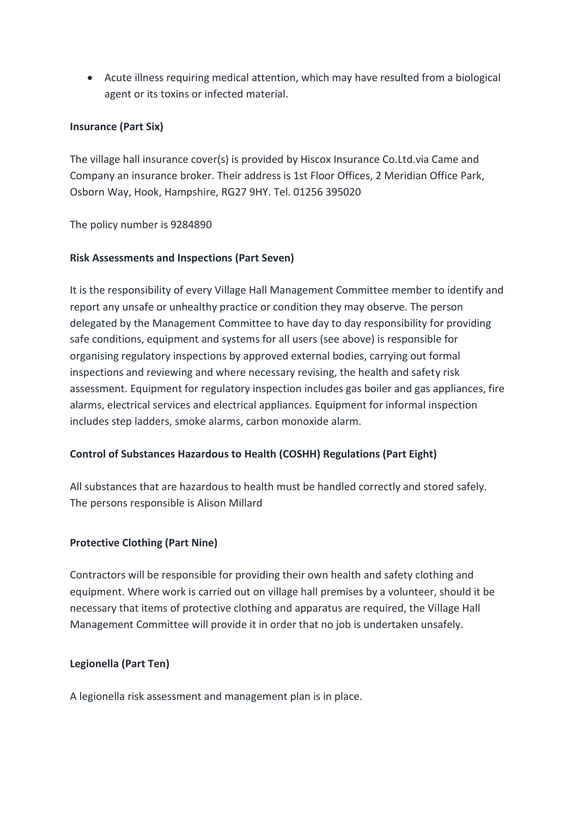• Acute illness requiring medical attention, which may have resulted from a biological agent or its toxins or infected material.

## **Insurance (Part Six)**

The village hall insurance cover(s) is provided by Hiscox Insurance Co.Ltd.via Came and Company an insurance broker. Their address is 1st Floor Offices, 2 Meridian Office Park, Osborn Way, Hook, Hampshire, RG27 9HY. Tel. 01256 395020

The policy number is 9284890

#### **Risk Assessments and Inspections (Part Seven)**

It is the responsibility of every Village Hall Management Committee member to identify and report any unsafe or unhealthy practice or condition they may observe. The person delegated by the Management Committee to have day to day responsibility for providing safe conditions, equipment and systems for all users (see above) is responsible for organising regulatory inspections by approved external bodies, carrying out formal inspections and reviewing and where necessary revising, the health and safety risk assessment. Equipment for regulatory inspection includes gas boiler and gas appliances, fire alarms, electrical services and electrical appliances. Equipment for informal inspection includes step ladders, smoke alarms, carbon monoxide alarm.

# **Control of Substances Hazardous to Health (COSHH) Regulations (Part Eight)**

All substances that are hazardous to health must be handled correctly and stored safely. The persons responsible is Alison Millard

# **Protective Clothing (Part Nine)**

Contractors will be responsible for providing their own health and safety clothing and equipment. Where work is carried out on village hall premises by a volunteer, should it be necessary that items of protective clothing and apparatus are required, the Village Hall Management Committee will provide it in order that no job is undertaken unsafely.

# **Legionella (Part Ten)**

A legionella risk assessment and management plan is in place.